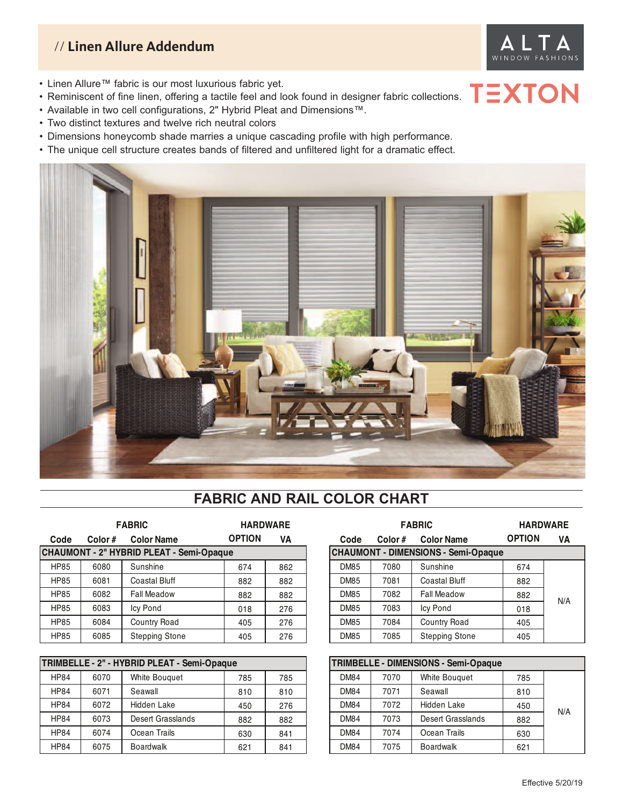### // **Linen Allure Addendum**



**TEXTON** 

- Linen Allure™ fabric is our most luxurious fabric yet.
- Reminiscent of fine linen, offering a tactile feel and look found in designer fabric collections.
- Available in two cell configurations, 2" Hybrid Pleat and Dimensions™.
- Two distinct textures and twelve rich neutral colors
- Dimensions honeycomb shade marries a unique cascading profile with high performance.
- The unique cell structure creates bands of filtered and unfiltered light for a dramatic effect.



### **FABRIC AND RAIL COLOR CHART**

|             |        | <b>FABRIC</b>                            | <b>HARDWARE</b> |     |  |             |                                            | <b>FABRIC</b>         | <b>HARDWARE</b> |     |
|-------------|--------|------------------------------------------|-----------------|-----|--|-------------|--------------------------------------------|-----------------------|-----------------|-----|
| Code        | Color# | <b>Color Name</b>                        | <b>OPTION</b>   | VA  |  | Code        | Color#                                     | <b>Color Name</b>     | <b>OPTION</b>   | VA  |
|             |        | CHAUMONT - 2" HYBRID PLEAT - Semi-Opaque |                 |     |  |             | <b>CHAUMONT - DIMENSIONS - Semi-Opaque</b> |                       |                 |     |
| <b>HP85</b> | 6080   | Sunshine                                 | 674             | 862 |  | <b>DM85</b> | 7080                                       | Sunshine              | 674             |     |
| <b>HP85</b> | 6081   | <b>Coastal Bluff</b>                     | 882             | 882 |  | <b>DM85</b> | 7081                                       | <b>Coastal Bluff</b>  | 882             |     |
| <b>HP85</b> | 6082   | <b>Fall Meadow</b>                       | 882             | 882 |  | <b>DM85</b> | 7082                                       | <b>Fall Meadow</b>    | 882             |     |
| <b>HP85</b> | 6083   | Icy Pond                                 | 018             | 276 |  | <b>DM85</b> | 7083                                       | Icy Pond              | 018             | N/A |
| <b>HP85</b> | 6084   | Country Road                             | 405             | 276 |  | <b>DM85</b> | 7084                                       | Country Road          | 405             |     |
| <b>HP85</b> | 6085   | <b>Stepping Stone</b>                    | 405             | 276 |  | <b>DM85</b> | 7085                                       | <b>Stepping Stone</b> | 405             |     |

|             |      | TRIMBELLE - 2" - HYBRID PLEAT - Semi-Opaque |     |     | TRIMBELLE - DIMENSIONS - Semi-Opaque |      |                      |     |
|-------------|------|---------------------------------------------|-----|-----|--------------------------------------|------|----------------------|-----|
| <b>HP84</b> | 6070 | <b>White Bouguet</b>                        | 785 | 785 | <b>DM84</b>                          | 7070 | <b>White Bouguet</b> | 785 |
| <b>HP84</b> | 6071 | Seawall                                     | 810 | 810 | <b>DM84</b>                          | 7071 | Seawall              | 810 |
| <b>HP84</b> | 6072 | Hidden Lake                                 | 450 | 276 | <b>DM84</b>                          | 7072 | <b>Hidden Lake</b>   | 450 |
| <b>HP84</b> | 6073 | Desert Grasslands                           | 882 | 882 | <b>DM84</b>                          | 7073 | Desert Grasslands    | 882 |
| <b>HP84</b> | 6074 | Ocean Trails                                | 630 | 841 | <b>DM84</b>                          | 7074 | Ocean Trails         | 630 |
| <b>HP84</b> | 6075 | Boardwalk                                   | 621 | 841 | <b>DM84</b>                          | 7075 | Boardwalk            | 621 |

| <b>FABRIC</b>             | <b>HARDWARE</b> |     | <b>HARDWARE</b> |        |                                            |               |     |
|---------------------------|-----------------|-----|-----------------|--------|--------------------------------------------|---------------|-----|
| <b>Color Name</b>         | <b>OPTION</b>   | VA  | Code            | Color# | <b>Color Name</b>                          | <b>OPTION</b> | VA  |
| YBRID PLEAT - Semi-Opaque |                 |     |                 |        | <b>CHAUMONT - DIMENSIONS - Semi-Opaque</b> |               |     |
| Sunshine                  | 674             | 862 | <b>DM85</b>     | 7080   | Sunshine                                   | 674           |     |
| <b>Coastal Bluff</b>      | 882             | 882 | <b>DM85</b>     | 7081   | <b>Coastal Bluff</b>                       | 882           |     |
| <b>Fall Meadow</b>        | 882             | 882 | <b>DM85</b>     | 7082   | <b>Fall Meadow</b>                         | 882           | N/A |
| <b>Icy Pond</b>           | 018             | 276 | <b>DM85</b>     | 7083   | <b>Icy Pond</b>                            | 018           |     |
| Country Road              | 405             | 276 | <b>DM85</b>     | 7084   | <b>Country Road</b>                        | 405           |     |
| <b>Stepping Stone</b>     | 405             | 276 | <b>DM85</b>     | 7085   | <b>Stepping Stone</b>                      | 405           |     |

| TRIMBELLE - DIMENSIONS - Semi-Opaque |      |                      |     |     |  |  |  |
|--------------------------------------|------|----------------------|-----|-----|--|--|--|
| <b>DM84</b>                          | 7070 | <b>White Bouguet</b> | 785 |     |  |  |  |
| <b>DM84</b>                          | 7071 | Seawall              | 810 |     |  |  |  |
| <b>DM84</b>                          | 7072 | Hidden Lake          | 450 | N/A |  |  |  |
| <b>DM84</b>                          | 7073 | Desert Grasslands    | 882 |     |  |  |  |
| <b>DM84</b>                          | 7074 | Ocean Trails         | 630 |     |  |  |  |
| <b>DM84</b>                          | 7075 | <b>Boardwalk</b>     | 621 |     |  |  |  |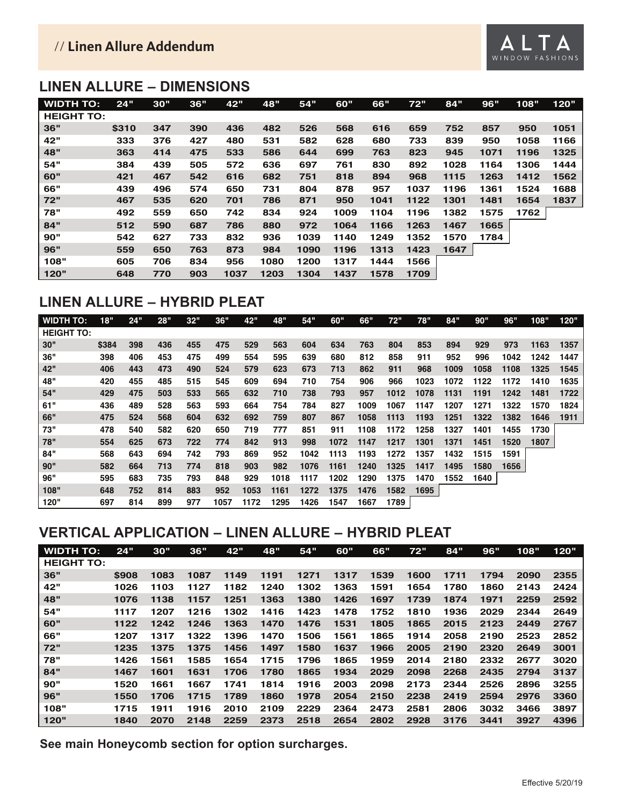### // **Linen Allure Addendum**

### **LINEN ALLURE – DIMENSIONS**

| <b>WIDTH TO:</b>  | 24"   | 30" | 36" | 42"  | 48"  | 54"  | 60"  | 66"  | 72"  | 84"  | 96"  | 108" | 120" |
|-------------------|-------|-----|-----|------|------|------|------|------|------|------|------|------|------|
| <b>HEIGHT TO:</b> |       |     |     |      |      |      |      |      |      |      |      |      |      |
| 36"               | \$310 | 347 | 390 | 436  | 482  | 526  | 568  | 616  | 659  | 752  | 857  | 950  | 1051 |
| 42"               | 333   | 376 | 427 | 480  | 531  | 582  | 628  | 680  | 733  | 839  | 950  | 1058 | 1166 |
| 48"               | 363   | 414 | 475 | 533  | 586  | 644  | 699  | 763  | 823  | 945  | 1071 | 1196 | 1325 |
| 54"               | 384   | 439 | 505 | 572  | 636  | 697  | 761  | 830  | 892  | 1028 | 1164 | 1306 | 1444 |
| 60"               | 421   | 467 | 542 | 616  | 682  | 751  | 818  | 894  | 968  | 1115 | 1263 | 1412 | 1562 |
| 66"               | 439   | 496 | 574 | 650  | 731  | 804  | 878  | 957  | 1037 | 1196 | 1361 | 1524 | 1688 |
| 72"               | 467   | 535 | 620 | 701  | 786  | 871  | 950  | 1041 | 1122 | 1301 | 1481 | 1654 | 1837 |
| 78"               | 492   | 559 | 650 | 742  | 834  | 924  | 1009 | 1104 | 1196 | 1382 | 1575 | 1762 |      |
| 84"               | 512   | 590 | 687 | 786  | 880  | 972  | 1064 | 1166 | 1263 | 1467 | 1665 |      |      |
| 90"               | 542   | 627 | 733 | 832  | 936  | 1039 | 1140 | 1249 | 1352 | 1570 | 1784 |      |      |
| 96"               | 559   | 650 | 763 | 873  | 984  | 1090 | 1196 | 1313 | 1423 | 1647 |      |      |      |
| 108"              | 605   | 706 | 834 | 956  | 1080 | 1200 | 1317 | 1444 | 1566 |      |      |      |      |
| 120"              | 648   | 770 | 903 | 1037 | 1203 | 1304 | 1437 | 1578 | 1709 |      |      |      |      |

### **LINEN ALLURE – HYBRID PLEAT**

| WIDTH TO:         | 18"   | 24" | 28" | 32" | 36"  | 42"  | 48"  | 54"  | 60"  | 66"  | 72"  | 78"  | 84"  | 90"  | 96"  | 108" | 120" |
|-------------------|-------|-----|-----|-----|------|------|------|------|------|------|------|------|------|------|------|------|------|
| <b>HEIGHT TO:</b> |       |     |     |     |      |      |      |      |      |      |      |      |      |      |      |      |      |
| 30"               | \$384 | 398 | 436 | 455 | 475  | 529  | 563  | 604  | 634  | 763  | 804  | 853  | 894  | 929  | 973  | 1163 | 1357 |
| 36"               | 398   | 406 | 453 | 475 | 499  | 554  | 595  | 639  | 680  | 812  | 858  | 911  | 952  | 996  | 1042 | 1242 | 1447 |
| 42"               | 406   | 443 | 473 | 490 | 524  | 579  | 623  | 673  | 713  | 862  | 911  | 968  | 1009 | 1058 | 1108 | 1325 | 1545 |
| 48"               | 420   | 455 | 485 | 515 | 545  | 609  | 694  | 710  | 754  | 906  | 966  | 1023 | 1072 | 1122 | 1172 | 1410 | 1635 |
| 54"               | 429   | 475 | 503 | 533 | 565  | 632  | 710  | 738  | 793  | 957  | 1012 | 1078 | 1131 | 1191 | 1242 | 1481 | 1722 |
| 61"               | 436   | 489 | 528 | 563 | 593  | 664  | 754  | 784  | 827  | 1009 | 1067 | 1147 | 1207 | 1271 | 1322 | 1570 | 1824 |
| 66"               | 475   | 524 | 568 | 604 | 632  | 692  | 759  | 807  | 867  | 1058 | 1113 | 1193 | 1251 | 1322 | 1382 | 1646 | 1911 |
| 73"               | 478   | 540 | 582 | 620 | 650  | 719  | 777  | 851  | 911  | 1108 | 1172 | 1258 | 1327 | 1401 | 1455 | 1730 |      |
| 78"               | 554   | 625 | 673 | 722 | 774  | 842  | 913  | 998  | 1072 | 1147 | 1217 | 1301 | 1371 | 1451 | 1520 | 1807 |      |
| 84"               | 568   | 643 | 694 | 742 | 793  | 869  | 952  | 1042 | 1113 | 1193 | 1272 | 1357 | 1432 | 1515 | 1591 |      |      |
| 90"               | 582   | 664 | 713 | 774 | 818  | 903  | 982  | 1076 | 1161 | 1240 | 1325 | 1417 | 1495 | 1580 | 1656 |      |      |
| 96"               | 595   | 683 | 735 | 793 | 848  | 929  | 1018 | 1117 | 1202 | 1290 | 1375 | 1470 | 1552 | 1640 |      |      |      |
| 108"              | 648   | 752 | 814 | 883 | 952  | 1053 | 1161 | 1272 | 1375 | 1476 | 1582 | 1695 |      |      |      |      |      |
| 120"              | 697   | 814 | 899 | 977 | 1057 | 1172 | 1295 | 1426 | 1547 | 1667 | 1789 |      |      |      |      |      |      |

## **VERTICAL APPLICATION – LINEN ALLURE – HYBRID PLEAT**

| <b>WIDTH TO:</b>  | 24"   | 30"  | 36"  | 42"  | 48"  | 54"  | 60"  | 66"  | 72"  | 84"  | 96"  | 108" | 120" |
|-------------------|-------|------|------|------|------|------|------|------|------|------|------|------|------|
| <b>HEIGHT TO:</b> |       |      |      |      |      |      |      |      |      |      |      |      |      |
| 36"               | \$908 | 1083 | 1087 | 1149 | 1191 | 1271 | 1317 | 1539 | 1600 | 1711 | 1794 | 2090 | 2355 |
| 42"               | 1026  | 1103 | 1127 | 1182 | 1240 | 1302 | 1363 | 1591 | 1654 | 1780 | 1860 | 2143 | 2424 |
| 48"               | 1076  | 1138 | 1157 | 1251 | 1363 | 1380 | 1426 | 1697 | 1739 | 1874 | 1971 | 2259 | 2592 |
| 54"               | 1117  | 1207 | 1216 | 1302 | 1416 | 1423 | 1478 | 1752 | 1810 | 1936 | 2029 | 2344 | 2649 |
| 60"               | 1122  | 1242 | 1246 | 1363 | 1470 | 1476 | 1531 | 1805 | 1865 | 2015 | 2123 | 2449 | 2767 |
| 66"               | 1207  | 1317 | 1322 | 1396 | 1470 | 1506 | 1561 | 1865 | 1914 | 2058 | 2190 | 2523 | 2852 |
| 72"               | 1235  | 1375 | 1375 | 1456 | 1497 | 1580 | 1637 | 1966 | 2005 | 2190 | 2320 | 2649 | 3001 |
| 78"               | 1426  | 1561 | 1585 | 1654 | 1715 | 1796 | 1865 | 1959 | 2014 | 2180 | 2332 | 2677 | 3020 |
| 84"               | 1467  | 1601 | 1631 | 1706 | 1780 | 1865 | 1934 | 2029 | 2098 | 2268 | 2435 | 2794 | 3137 |
| 90"               | 1520  | 1661 | 1667 | 1741 | 1814 | 1916 | 2003 | 2098 | 2173 | 2344 | 2526 | 2896 | 3255 |
| 96"               | 1550  | 1706 | 1715 | 1789 | 1860 | 1978 | 2054 | 2150 | 2238 | 2419 | 2594 | 2976 | 3360 |
| 108"              | 1715  | 1911 | 1916 | 2010 | 2109 | 2229 | 2364 | 2473 | 2581 | 2806 | 3032 | 3466 | 3897 |
| 120"              | 1840  | 2070 | 2148 | 2259 | 2373 | 2518 | 2654 | 2802 | 2928 | 3176 | 3441 | 3927 | 4396 |

**See main Honeycomb section for option surcharges.**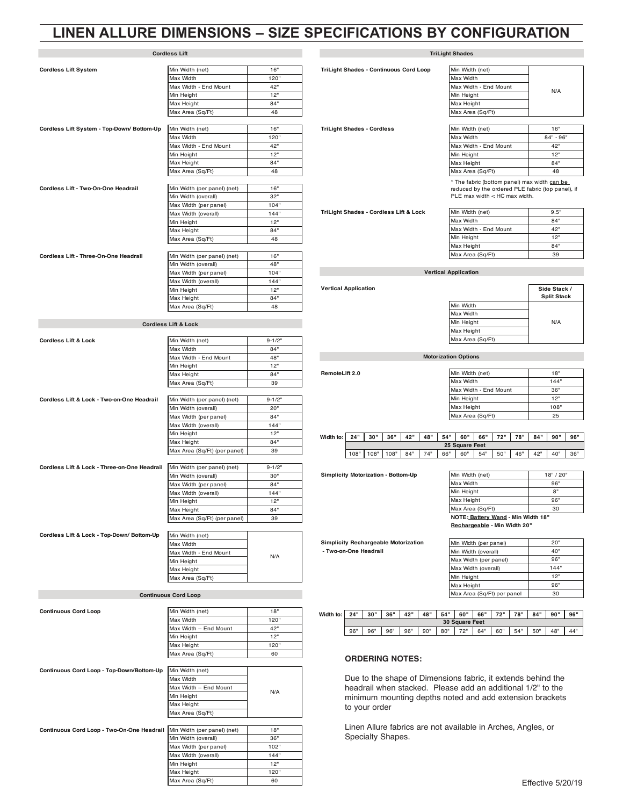### **LINEN ALLURE DIMENSIONS – SIZE SPECIFICATIONS BY CONFIGURATION**

|                                              | <b>Cordless Lift</b>                         |             |                              |
|----------------------------------------------|----------------------------------------------|-------------|------------------------------|
|                                              |                                              |             |                              |
| <b>Cordless Lift System</b>                  | Min Width (net)                              | 16"         | <b>TriLight Shades - Co</b>  |
|                                              | Max Width                                    | 120"        |                              |
|                                              | Max Width - End Mount                        | 42"         |                              |
|                                              | Min Height                                   | 12"         |                              |
|                                              | Max Height                                   | 84"         |                              |
|                                              | Max Area (Sq/Ft)                             | 48          |                              |
| Cordless Lift System - Top-Down/ Bottom-Up   | Min Width (net)                              | 16"         | <b>TriLight Shades - Co</b>  |
|                                              | Max Width                                    | 120"        |                              |
|                                              | Max Width - End Mount                        | 42"         |                              |
|                                              | Min Height                                   | 12"         |                              |
|                                              | Max Height                                   | 84"         |                              |
|                                              | Max Area (Sq/Ft)                             | 48          |                              |
|                                              |                                              |             |                              |
| Cordless Lift - Two-On-One Headrail          | Min Width (per panel) (net)                  | 16"         |                              |
|                                              | Min Width (overall)                          | 32"         |                              |
|                                              | Max Width (per panel)                        | 104"        | <b>TriLight Shades - Co</b>  |
|                                              | Max Width (overall)<br>Min Height            | 144"<br>12" |                              |
|                                              | Max Height                                   | 84"         |                              |
|                                              | Max Area (Sq/Ft)                             | 48          |                              |
|                                              |                                              |             |                              |
| Cordless Lift - Three-On-One Headrail        | Min Width (per panel) (net)                  | 16"         |                              |
|                                              | Min Width (overall)                          | 48"         |                              |
|                                              | Max Width (per panel)                        | 104"        |                              |
|                                              | Max Width (overall)                          | 144"        |                              |
|                                              | Min Height                                   | 12"         | <b>Vertical Application</b>  |
|                                              | Max Height                                   | 84"         |                              |
|                                              | Max Area (Sq/Ft)                             | 48          |                              |
|                                              | <b>Cordless Lift &amp; Lock</b>              |             |                              |
|                                              |                                              |             |                              |
| <b>Cordless Lift &amp; Lock</b>              | Min Width (net)                              | $9 - 1/2"$  |                              |
|                                              | Max Width                                    | 84"         |                              |
|                                              | Max Width - End Mount                        | 48"         |                              |
|                                              | Min Height                                   | 12"         |                              |
|                                              | Max Height                                   | 84"         | RemoteLift 2.0               |
|                                              | Max Area (Sq/Ft)                             | 39          |                              |
| Cordless Lift & Lock - Two-on-One Headrail   | Min Width (per panel) (net)                  | $9 - 1/2"$  |                              |
|                                              | Min Width (overall)                          | 20"         |                              |
|                                              | Max Width (per panel)                        | 84"         |                              |
|                                              | Max Width (overall)                          | 144"        |                              |
|                                              | Min Height                                   | 12"         | Width to:<br>24"<br>30       |
|                                              | Max Height                                   | 84"         |                              |
|                                              | Max Area (Sq/Ft) (per panel)                 | 39          | 108"<br>108                  |
|                                              |                                              |             |                              |
| Cordiess Lift & Lock - Three-on-One Headrail | Min Width (per panel) (net)                  | $9 - 1/2"$  | <b>Simplicity Motorizati</b> |
|                                              | Min Width (overall)                          | 30"         |                              |
|                                              | Max Width (per panel)                        | 84"         |                              |
|                                              | Max Width (overall)                          | 144"<br>12" |                              |
|                                              | Min Height                                   | 84"         |                              |
|                                              | Max Height<br>Max Area (Sq/Ft) (per panel)   | 39          |                              |
|                                              |                                              |             |                              |
| Cordless Lift & Lock - Top-Down/ Bottom-Up   | Min Width (net)                              |             |                              |
|                                              | Max Width                                    |             | <b>Simplicity Recharge</b>   |
|                                              | Max Width - End Mount                        | N/A         | - Two-on-One Headı           |
|                                              | Min Height                                   |             |                              |
|                                              | Max Height                                   |             |                              |
|                                              | Max Area (Sq/Ft)                             |             |                              |
|                                              | <b>Continuous Cord Loop</b>                  |             |                              |
|                                              |                                              |             |                              |
| <b>Continuous Cord Loop</b>                  | Min Width (net)                              | 18"         | 24"<br>Width to:<br>30'      |
|                                              | Max Width                                    | 120"<br>42" |                              |
|                                              | Max Width - End Mount                        | 12"         | 96"<br>96"                   |
|                                              | Min Height<br>Max Height                     | 120"        |                              |
|                                              | Max Area (Sq/Ft)                             | 60          |                              |
|                                              |                                              |             | <b>ORDERI</b>                |
| Continuous Cord Loop - Top-Down/Bottom-Up    | Min Width (net)                              |             |                              |
|                                              | Max Width                                    |             | Due to th                    |
|                                              | Max Width - End Mount                        | N/A         | headrail                     |
|                                              | Min Height                                   |             | minimum                      |
|                                              | Max Height                                   |             | to your c                    |
|                                              | Max Area (Sq/Ft)                             |             |                              |
|                                              |                                              |             | Linen All                    |
| Continuous Cord Loop - Two-On-One Headrail   | Min Width (per panel) (net)                  | 18"<br>36"  | Specialty                    |
|                                              | Min Width (overall)<br>Max Width (per panel) | 102"        |                              |
|                                              | Max Width (overall)                          | 144"        |                              |
|                                              | Min Height                                   | 12"         |                              |
|                                              | Max Height                                   | 120"        |                              |

Max Area (Sq/Ft) 60

#### **TriLight Shades**

| TriLight Shades - Continuous Cord Loop | Min Width (net)                                                                                                                        |             |
|----------------------------------------|----------------------------------------------------------------------------------------------------------------------------------------|-------------|
|                                        | Max Width                                                                                                                              |             |
|                                        | Max Width - End Mount                                                                                                                  |             |
|                                        | Min Height                                                                                                                             | N/A         |
|                                        | Max Height                                                                                                                             |             |
|                                        | Max Area (Sq/Ft)                                                                                                                       |             |
|                                        |                                                                                                                                        |             |
| <b>TriLight Shades - Cordless</b>      | Min Width (net)                                                                                                                        | 16"         |
|                                        | Max Width                                                                                                                              | $84" - 96"$ |
|                                        | Max Width - End Mount                                                                                                                  | 42"         |
|                                        | Min Height                                                                                                                             | 12"         |
|                                        | Max Height                                                                                                                             | 84"         |
|                                        | Max Area (Sq/Ft)                                                                                                                       | 48          |
|                                        | * The fabric (bottom panel) max width can be<br>reduced by the ordered PLE fabric (top panel), if<br>$PLE$ max width $<$ HC max width. |             |
| TriLight Shades - Cordless Lift & Lock | Min Width (net)                                                                                                                        | 9.5"        |
|                                        | Max Width                                                                                                                              | 84"         |
|                                        | Max Width - End Mount                                                                                                                  | 42"         |
|                                        | Min Height                                                                                                                             | 12"         |
|                                        | Max Height                                                                                                                             | 84"         |
|                                        | Max Area (Sq/Ft)                                                                                                                       | 39          |
|                                        |                                                                                                                                        |             |
|                                        |                                                                                                                                        |             |

#### **Vertical Application**

|                  | Side Stack /<br><b>Split Stack</b> |
|------------------|------------------------------------|
| Min Width        |                                    |
| Max Width        |                                    |
| Min Heiaht       | N/A                                |
| Max Height       |                                    |
| Max Area (Sq/Ft) |                                    |

### **Motorization Options**

**RemoteLift 2.0** Min Width (Net) 18"

| Min Width (net)       | 18"  |
|-----------------------|------|
| Max Width             | 144" |
| Max Width - End Mount | 36"  |
| Min Height            | 12"  |
| Max Height            | 108" |
| Max Area (Sq/Ft)      | 25   |

#### Width to: 24" | 30" | 36" | 42" | 48" | 54" | 60" | 66" | 72" | 78" | 84" | 90" | 96" 108" | 108" | 108" | 84" | 74" | 66" | 60" | 54" | 50" | 46" | 42" | 40" | 36" **25 Square Feet**

**Simplicity Motorization - Bottom-Up** 

| Min Width (net)                    | 18" / 20" |  |  |  |  |  |
|------------------------------------|-----------|--|--|--|--|--|
| Max Width                          | 96"       |  |  |  |  |  |
| Min Height                         | я"        |  |  |  |  |  |
| Max Height                         | 96"       |  |  |  |  |  |
| Max Area (Sq/Ft)<br>30             |           |  |  |  |  |  |
| NOTE: Battery Wand - Min Width 18" |           |  |  |  |  |  |

#### **Rechargeable - Min Width 20"**

**Simplicity Rechargeable Motorization - Two-on-One Headrail** Min Width (overall) 40"

| Min Width (per panel)      | 20"  |
|----------------------------|------|
| Min Width (overall)        | 40"  |
| Max Width (per panel)      | 96"  |
| Max Width (overall)        | 144" |
| Min Height                 | 12"  |
| Max Height                 | 96"  |
| Max Area (Sq/Ft) per panel | 30   |

| Width to: | 24"                   | 30" | 36" | 42" | 48" | 54" | 60"       | 66" | 72" | 78" | 84" | 90" | 96" |
|-----------|-----------------------|-----|-----|-----|-----|-----|-----------|-----|-----|-----|-----|-----|-----|
|           | <b>30 Square Feet</b> |     |     |     |     |     |           |     |     |     |     |     |     |
|           | 96"                   | 96" | 96" | 96" | 90" | 80" | フロ<br>. . | 64" | 60" | 54" | 50" | 48" | 44" |

#### **ORDERING NOTES:**

Due to the shape of Dimensions fabric, it extends behind the headrail when stacked. Please add an additional 1/2" to the minimum mounting depths noted and add extension brackets to your order

Linen Allure fabrics are not available in Arches, Angles, or Specialty Shapes.